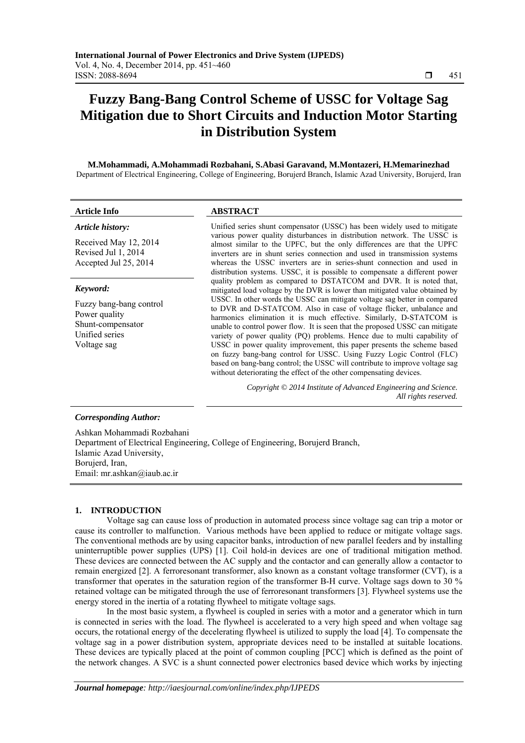# **Fuzzy Bang-Bang Control Scheme of USSC for Voltage Sag Mitigation due to Short Circuits and Induction Motor Starting in Distribution System**

#### **M.Mohammadi, A.Mohammadi Rozbahani, S.Abasi Garavand, M.Montazeri, H.Memarinezhad**  Department of Electrical Engineering, College of Engineering, Borujerd Branch, Islamic Azad University, Borujerd, Iran

## **Article Info ABSTRACT**

#### *Article history:*

Received May 12, 2014 Revised Jul 1, 2014 Accepted Jul 25, 2014

#### *Keyword:*

Fuzzy bang-bang control Power quality Shunt-compensator Unified series Voltage sag

Unified series shunt compensator (USSC) has been widely used to mitigate various power quality disturbances in distribution network. The USSC is almost similar to the UPFC, but the only differences are that the UPFC inverters are in shunt series connection and used in transmission systems whereas the USSC inverters are in series-shunt connection and used in distribution systems. USSC, it is possible to compensate a different power quality problem as compared to DSTATCOM and DVR. It is noted that, mitigated load voltage by the DVR is lower than mitigated value obtained by USSC. In other words the USSC can mitigate voltage sag better in compared to DVR and D-STATCOM. Also in case of voltage flicker, unbalance and harmonics elimination it is much effective. Similarly, D-STATCOM is unable to control power flow. It is seen that the proposed USSC can mitigate variety of power quality (PQ) problems. Hence due to multi capability of USSC in power quality improvement, this paper presents the scheme based on fuzzy bang-bang control for USSC. Using Fuzzy Logic Control (FLC) based on bang-bang control; the USSC will contribute to improve voltage sag without deteriorating the effect of the other compensating devices.

> *Copyright © 2014 Institute of Advanced Engineering and Science. All rights reserved.*

#### *Corresponding Author:*

Ashkan Mohammadi Rozbahani Department of Electrical Engineering, College of Engineering, Borujerd Branch, Islamic Azad University, Borujerd, Iran, Email: mr.ashkan@iaub.ac.ir

#### **1. INTRODUCTION**

Voltage sag can cause loss of production in automated process since voltage sag can trip a motor or cause its controller to malfunction. Various methods have been applied to reduce or mitigate voltage sags. The conventional methods are by using capacitor banks, introduction of new parallel feeders and by installing uninterruptible power supplies (UPS) [1]. Coil hold-in devices are one of traditional mitigation method. These devices are connected between the AC supply and the contactor and can generally allow a contactor to remain energized [2]. A ferroresonant transformer, also known as a constant voltage transformer (CVT), is a transformer that operates in the saturation region of the transformer B-H curve. Voltage sags down to 30 % retained voltage can be mitigated through the use of ferroresonant transformers [3]. Flywheel systems use the energy stored in the inertia of a rotating flywheel to mitigate voltage sags.

In the most basic system, a flywheel is coupled in series with a motor and a generator which in turn is connected in series with the load. The flywheel is accelerated to a very high speed and when voltage sag occurs, the rotational energy of the decelerating flywheel is utilized to supply the load [4]. To compensate the voltage sag in a power distribution system, appropriate devices need to be installed at suitable locations. These devices are typically placed at the point of common coupling [PCC] which is defined as the point of the network changes. A SVC is a shunt connected power electronics based device which works by injecting

ֺֺ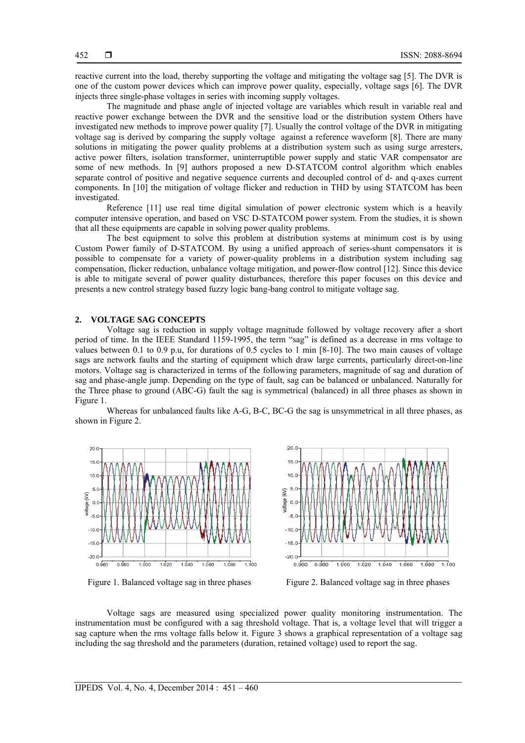reactive current into the load, thereby supporting the voltage and mitigating the voltage sag [5]. The DVR is one of the custom power devices which can improve power quality, especially, voltage sags [6]. The DVR injects three single-phase voltages in series with incoming supply voltages.

The magnitude and phase angle of injected voltage are variables which result in variable real and reactive power exchange between the DVR and the sensitive load or the distribution system Others have investigated new methods to improve power quality [7]. Usually the control voltage of the DVR in mitigating voltage sag is derived by comparing the supply voltage against a reference waveform [8]. There are many solutions in mitigating the power quality problems at a distribution system such as using surge arresters, active power filters, isolation transformer, uninterruptible power supply and static VAR compensator are some of new methods. In [9] authors proposed a new D-STATCOM control algorithm which enables separate control of positive and negative sequence currents and decoupled control of d- and q-axes current components. In [10] the mitigation of voltage flicker and reduction in THD by using STATCOM has been investigated.

Reference [11] use real time digital simulation of power electronic system which is a heavily computer intensive operation, and based on VSC D-STATCOM power system. From the studies, it is shown that all these equipments are capable in solving power quality problems.

The best equipment to solve this problem at distribution systems at minimum cost is by using Custom Power family of D-STATCOM. By using a unified approach of series-shunt compensators it is possible to compensate for a variety of power-quality problems in a distribution system including sag compensation, flicker reduction, unbalance voltage mitigation, and power-flow control [12]. Since this device is able to mitigate several of power quality disturbances, therefore this paper focuses on this device and presents a new control strategy based fuzzy logic bang-bang control to mitigate voltage sag.

#### **2. VOLTAGE SAG CONCEPTS**

Voltage sag is reduction in supply voltage magnitude followed by voltage recovery after a short period of time. In the IEEE Standard 1159-1995, the term "sag" is defined as a decrease in rms voltage to values between 0.1 to 0.9 p.u, for durations of 0.5 cycles to 1 min [8-10]. The two main causes of voltage sags are network faults and the starting of equipment which draw large currents, particularly direct-on-line motors. Voltage sag is characterized in terms of the following parameters, magnitude of sag and duration of sag and phase-angle jump. Depending on the type of fault, sag can be balanced or unbalanced. Naturally for the Three phase to ground (ABC-G) fault the sag is symmetrical (balanced) in all three phases as shown in Figure 1.

Whereas for unbalanced faults like A-G, B-C, BC-G the sag is unsymmetrical in all three phases, as shown in Figure 2.



Figure 1. Balanced voltage sag in three phases Figure 2. Balanced voltage sag in three phases

Voltage sags are measured using specialized power quality monitoring instrumentation. The instrumentation must be configured with a sag threshold voltage. That is, a voltage level that will trigger a sag capture when the rms voltage falls below it. Figure 3 shows a graphical representation of a voltage sag including the sag threshold and the parameters (duration, retained voltage) used to report the sag.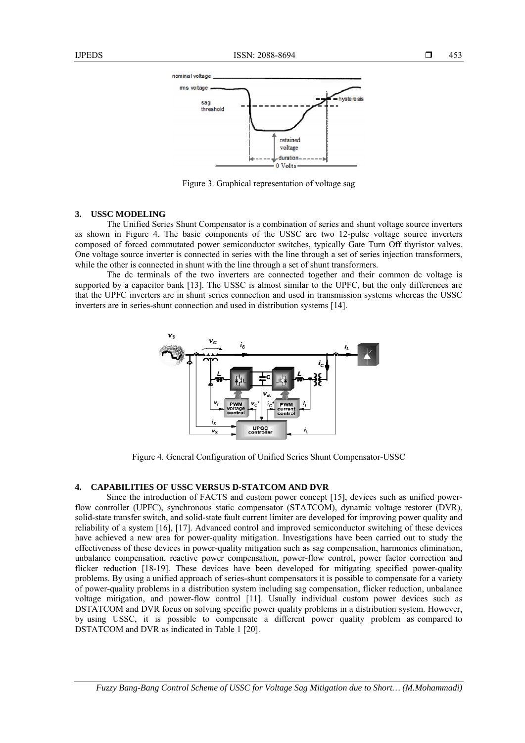

Figure 3. Graphical representation of voltage sag

## **3. USSC MODELING**

The Unified Series Shunt Compensator is a combination of series and shunt voltage source inverters as shown in Figure 4. The basic components of the USSC are two 12-pulse voltage source inverters composed of forced commutated power semiconductor switches, typically Gate Turn Off thyristor valves. One voltage source inverter is connected in series with the line through a set of series injection transformers, while the other is connected in shunt with the line through a set of shunt transformers.

The dc terminals of the two inverters are connected together and their common dc voltage is supported by a capacitor bank [13]. The USSC is almost similar to the UPFC, but the only differences are that the UPFC inverters are in shunt series connection and used in transmission systems whereas the USSC inverters are in series-shunt connection and used in distribution systems [14].



Figure 4. General Configuration of Unified Series Shunt Compensator-USSC

# **4. CAPABILITIES OF USSC VERSUS D-STATCOM AND DVR**

Since the introduction of FACTS and custom power concept [15], devices such as unified powerflow controller (UPFC), synchronous static compensator (STATCOM), dynamic voltage restorer (DVR), solid-state transfer switch, and solid-state fault current limiter are developed for improving power quality and reliability of a system [16], [17]. Advanced control and improved semiconductor switching of these devices have achieved a new area for power-quality mitigation. Investigations have been carried out to study the effectiveness of these devices in power-quality mitigation such as sag compensation, harmonics elimination, unbalance compensation, reactive power compensation, power-flow control, power factor correction and flicker reduction [18-19]. These devices have been developed for mitigating specified power-quality problems. By using a unified approach of series-shunt compensators it is possible to compensate for a variety of power-quality problems in a distribution system including sag compensation, flicker reduction, unbalance voltage mitigation, and power-flow control [11]. Usually individual custom power devices such as DSTATCOM and DVR focus on solving specific power quality problems in a distribution system. However, by using USSC, it is possible to compensate a different power quality problem as compared to DSTATCOM and DVR as indicated in Table 1 [20].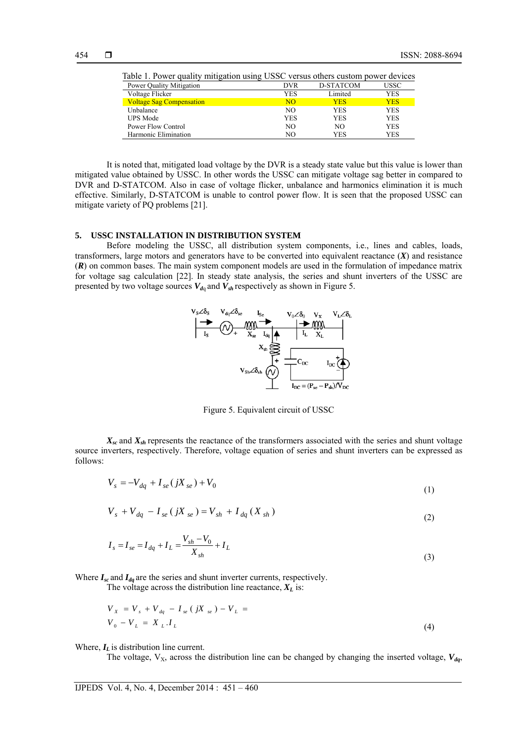| Table 1. Power quality mitigation using USSC versus others custom power devices |            |            |            |
|---------------------------------------------------------------------------------|------------|------------|------------|
| Power Quality Mitigation                                                        | <b>DVR</b> | D-STATCOM  | USSC       |
| Voltage Flicker                                                                 | YES        | Limited    | YES        |
| <b>Voltage Sag Compensation</b>                                                 | <b>NO</b>  | <b>YES</b> | <b>YES</b> |
| Unbalance                                                                       | NO.        | YES        | YES        |
| <b>UPS</b> Mode                                                                 | <b>YES</b> | YES        | YES        |
| Power Flow Control                                                              | NO.        | NO.        | YES        |
| Harmonic Elimination                                                            | NO.        | YES        | YES        |

Table 1. Power quality mitigation using USSC versus others custom power devices

It is noted that, mitigated load voltage by the DVR is a steady state value but this value is lower than mitigated value obtained by USSC. In other words the USSC can mitigate voltage sag better in compared to DVR and D-STATCOM. Also in case of voltage flicker, unbalance and harmonics elimination it is much effective. Similarly, D-STATCOM is unable to control power flow. It is seen that the proposed USSC can mitigate variety of PQ problems [21].

## **5. USSC INSTALLATION IN DISTRIBUTION SYSTEM**

Before modeling the USSC, all distribution system components, i.e., lines and cables, loads, transformers, large motors and generators have to be converted into equivalent reactance (*X*) and resistance (*R*) on common bases. The main system component models are used in the formulation of impedance matrix for voltage sag calculation [22]. In steady state analysis, the series and shunt inverters of the USSC are presented by two voltage sources  $V_{d}$  and  $V_{sh}$  respectively as shown in Figure 5.



Figure 5. Equivalent circuit of USSC

 $X_{sc}$  and  $X_{sh}$  represents the reactance of the transformers associated with the series and shunt voltage source inverters, respectively. Therefore, voltage equation of series and shunt inverters can be expressed as follows:

$$
V_s = -V_{dq} + I_{se} (jX_{se}) + V_0
$$
\n(1)

$$
V_s + V_{dq} - I_{se} (jX_{se}) = V_{sh} + I_{dq} (X_{sh})
$$
\n(2)

$$
I_s = I_{se} = I_{dq} + I_L = \frac{V_{sh} - V_0}{X_{sh}} + I_L
$$
\n(3)

Where  $I_{sc}$  and  $I_{dq}$  are the series and shunt inverter currents, respectively.

The voltage across the distribution line reactance,  $X_L$  is:

$$
V_{X} = V_{s} + V_{dq} - I_{se} (jX_{se}) - V_{L} =
$$
  
\n
$$
V_{0} - V_{L} = X_{L}.I_{L}
$$
\n(4)

Where,  $I_L$  is distribution line current.

The voltage,  $V_X$ , across the distribution line can be changed by changing the inserted voltage,  $V_{dq}$ ,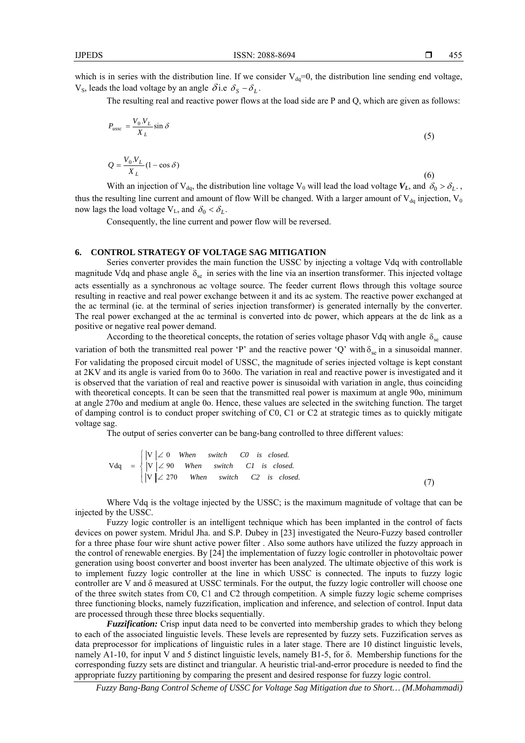which is in series with the distribution line. If we consider  $V_{dq} = 0$ , the distribution line sending end voltage,  $V_s$ , leads the load voltage by an angle  $\delta$  *i.e.*  $\delta_s - \delta_L$ .

The resulting real and reactive power flows at the load side are P and Q, which are given as follows:

$$
P_{ussc} = \frac{V_0.V_L}{X_L} \sin \delta \tag{5}
$$

$$
Q = \frac{V_0.V_L}{X_L} (1 - \cos \delta) \tag{6}
$$

With an injection of  $V_{dq}$ , the distribution line voltage  $V_0$  will lead the load voltage  $V_L$ , and  $\delta_0 > \delta_L$ . thus the resulting line current and amount of flow Will be changed. With a larger amount of  $V_{da}$  injection,  $V_0$ now lags the load voltage  $V_L$ , and  $\delta_0 < \delta_L$ .

Consequently, the line current and power flow will be reversed.

#### **6. CONTROL STRATEGY OF VOLTAGE SAG MITIGATION**

Series converter provides the main function the USSC by injecting a voltage Vdq with controllable magnitude Vdq and phase angle  $\delta_{\rm se}$  in series with the line via an insertion transformer. This injected voltage acts essentially as a synchronous ac voltage source. The feeder current flows through this voltage source resulting in reactive and real power exchange between it and its ac system. The reactive power exchanged at the ac terminal (ie. at the terminal of series injection transformer) is generated internally by the converter. The real power exchanged at the ac terminal is converted into dc power, which appears at the dc link as a positive or negative real power demand.

According to the theoretical concepts, the rotation of series voltage phasor Vdq with angle  $\delta_{se}$  cause variation of both the transmitted real power 'P' and the reactive power 'Q' with  $\delta_{se}$  in a sinusoidal manner. For validating the proposed circuit model of USSC, the magnitude of series injected voltage is kept constant at 2KV and its angle is varied from 0o to 360o. The variation in real and reactive power is investigated and it is observed that the variation of real and reactive power is sinusoidal with variation in angle, thus coinciding with theoretical concepts. It can be seen that the transmitted real power is maximum at angle 90o, minimum at angle 270o and medium at angle 0o. Hence, these values are selected in the switching function. The target of damping control is to conduct proper switching of C0, C1 or C2 at strategic times as to quickly mitigate voltage sag.

The output of series converter can be bang-bang controlled to three different values:

$$
Vdq = \begin{cases} |V| \angle 0 & \text{When} \quad \text{switch} \quad CO & \text{is} \quad closed. \\ |V| \angle 90 & \text{When} \quad \text{switch} \quad CI & \text{is} \quad closed. \\ |V| \angle 270 & \text{When} \quad \text{switch} \quad C2 & \text{is} \quad closed. \end{cases}
$$
(7)

Where Vdq is the voltage injected by the USSC; is the maximum magnitude of voltage that can be injected by the USSC.

Fuzzy logic controller is an intelligent technique which has been implanted in the control of facts devices on power system. Mridul Jha. and S.P. Dubey in [23] investigated the Neuro-Fuzzy based controller for a three phase four wire shunt active power filter . Also some authors have utilized the fuzzy approach in the control of renewable energies. By [24] the implementation of fuzzy logic controller in photovoltaic power generation using boost converter and boost inverter has been analyzed. The ultimate objective of this work is to implement fuzzy logic controller at the line in which USSC is connected. The inputs to fuzzy logic controller are V and δ measured at USSC terminals. For the output, the fuzzy logic controller will choose one of the three switch states from C0, C1 and C2 through competition. A simple fuzzy logic scheme comprises three functioning blocks, namely fuzzification, implication and inference, and selection of control. Input data are processed through these three blocks sequentially.

*Fuzzification:* Crisp input data need to be converted into membership grades to which they belong to each of the associated linguistic levels. These levels are represented by fuzzy sets. Fuzzification serves as data preprocessor for implications of linguistic rules in a later stage. There are 10 distinct linguistic levels, namely A1-10, for input V and 5 distinct linguistic levels, namely B1-5, for δ. Membership functions for the corresponding fuzzy sets are distinct and triangular. A heuristic trial-and-error procedure is needed to find the appropriate fuzzy partitioning by comparing the present and desired response for fuzzy logic control.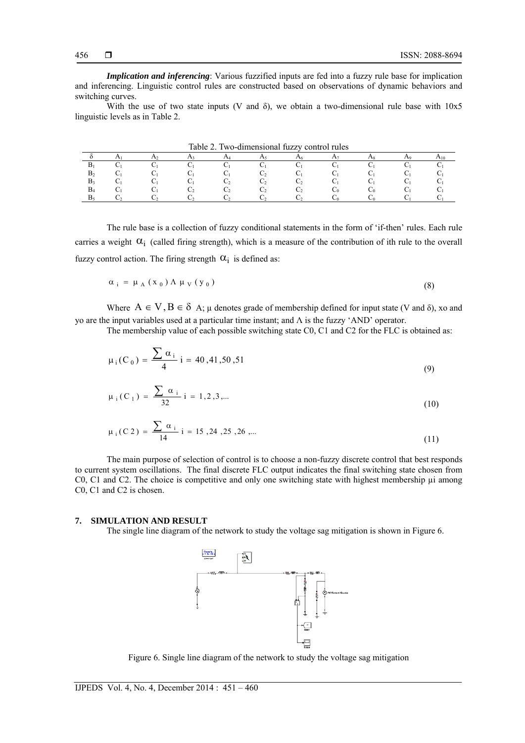*Implication and inferencing*: Various fuzzified inputs are fed into a fuzzy rule base for implication and inferencing. Linguistic control rules are constructed based on observations of dynamic behaviors and switching curves.

With the use of two state inputs (V and  $\delta$ ), we obtain a two-dimensional rule base with  $10x5$ linguistic levels as in Table 2.

| $1a01c 2.100$ -uniferisional fuzzy control futes |  |  |  |  |  |          |  |  |                |  |
|--------------------------------------------------|--|--|--|--|--|----------|--|--|----------------|--|
|                                                  |  |  |  |  |  | $\Delta$ |  |  | $\Delta\Omega$ |  |
| B                                                |  |  |  |  |  |          |  |  |                |  |
| в,                                               |  |  |  |  |  |          |  |  |                |  |
| B <sub>3</sub>                                   |  |  |  |  |  |          |  |  |                |  |
| $B_4$                                            |  |  |  |  |  |          |  |  |                |  |
| B <sub>5</sub>                                   |  |  |  |  |  |          |  |  |                |  |

Table 2. Two-dimensional fuzzy control rules

The rule base is a collection of fuzzy conditional statements in the form of 'if-then' rules. Each rule carries a weight  $\alpha_i$  (called firing strength), which is a measure of the contribution of ith rule to the overall fuzzy control action. The firing strength  $\alpha_i$  is defined as:

$$
\alpha_{i} = \mu_{A}(x_{0}) \Lambda \mu_{V}(y_{0}) \tag{8}
$$

Where  $A \in V$ ,  $B \in \delta$  A;  $\mu$  denotes grade of membership defined for input state (V and  $\delta$ ), xo and yo are the input variables used at a particular time instant; and Λ is the fuzzy 'AND' operator.

The membership value of each possible switching state C0, C1 and C2 for the FLC is obtained as:

$$
\mu_i(C_0) = \frac{\sum \alpha_i}{4} i = 40,41,50,51
$$
\n(9)

$$
\mu_i(C_1) = \frac{\sum \alpha_i}{32} i = 1, 2, 3, \dots
$$
 (10)

$$
\mu_i(C2) = \frac{\sum \alpha_i}{14} i = 15, 24, 25, 26, \dots
$$
 (11)

The main purpose of selection of control is to choose a non-fuzzy discrete control that best responds to current system oscillations. The final discrete FLC output indicates the final switching state chosen from C0, C1 and C2. The choice is competitive and only one switching state with highest membership ui among C0, C1 and C2 is chosen.

#### **7. SIMULATION AND RESULT**

The single line diagram of the network to study the voltage sag mitigation is shown in Figure 6.



Figure 6. Single line diagram of the network to study the voltage sag mitigation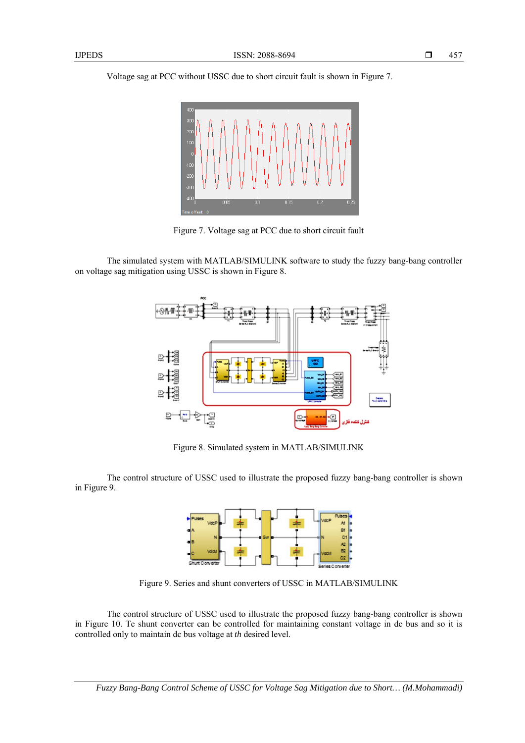Voltage sag at PCC without USSC due to short circuit fault is shown in Figure 7.



Figure 7. Voltage sag at PCC due to short circuit fault

The simulated system with MATLAB/SIMULINK software to study the fuzzy bang-bang controller on voltage sag mitigation using USSC is shown in Figure 8.



Figure 8. Simulated system in MATLAB/SIMULINK

The control structure of USSC used to illustrate the proposed fuzzy bang-bang controller is shown in Figure 9.



Figure 9. Series and shunt converters of USSC in MATLAB/SIMULINK

The control structure of USSC used to illustrate the proposed fuzzy bang-bang controller is shown in Figure 10. Te shunt converter can be controlled for maintaining constant voltage in dc bus and so it is controlled only to maintain dc bus voltage at *th* desired level.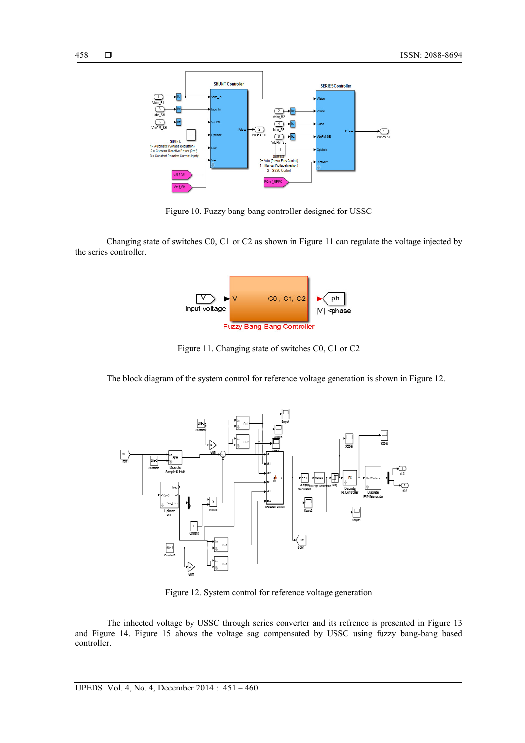

Figure 10. Fuzzy bang-bang controller designed for USSC

Changing state of switches C0, C1 or C2 as shown in Figure 11 can regulate the voltage injected by the series controller.



Figure 11. Changing state of switches C0, C1 or C2

The block diagram of the system control for reference voltage generation is shown in Figure 12.



Figure 12. System control for reference voltage generation

The inhected voltage by USSC through series converter and its refrence is presented in Figure 13 and Figure 14. Figure 15 ahows the voltage sag compensated by USSC using fuzzy bang-bang based controller.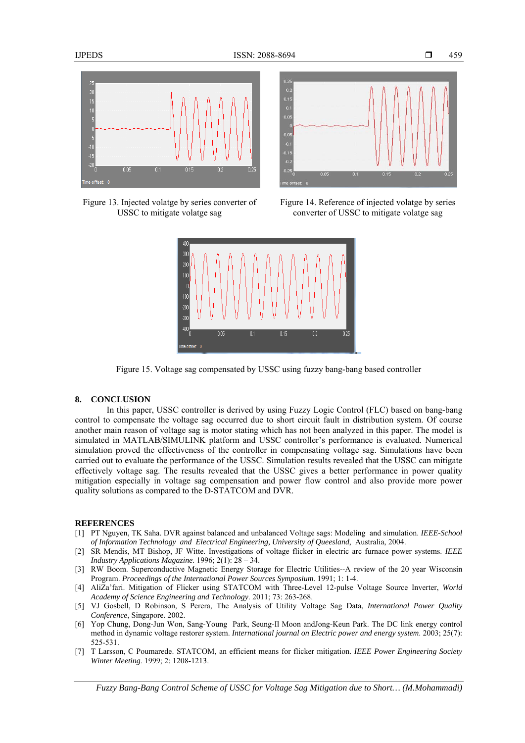

Figure 13. Injected volatge by series converter of USSC to mitigate volatge sag



Figure 14. Reference of injected volatge by series converter of USSC to mitigate volatge sag



Figure 15. Voltage sag compensated by USSC using fuzzy bang-bang based controller

# **8. CONCLUSION**

In this paper, USSC controller is derived by using Fuzzy Logic Control (FLC) based on bang-bang control to compensate the voltage sag occurred due to short circuit fault in distribution system. Of course another main reason of voltage sag is motor stating which has not been analyzed in this paper. The model is simulated in MATLAB/SIMULINK platform and USSC controller's performance is evaluated. Numerical simulation proved the effectiveness of the controller in compensating voltage sag. Simulations have been carried out to evaluate the performance of the USSC. Simulation results revealed that the USSC can mitigate effectively voltage sag. The results revealed that the USSC gives a better performance in power quality mitigation especially in voltage sag compensation and power flow control and also provide more power quality solutions as compared to the D-STATCOM and DVR.

#### **REFERENCES**

- [1] PT Nguyen, TK Saha. DVR against balanced and unbalanced Voltage sags: Modeling and simulation. *IEEE-School of Information Technology and Electrical Engineering, University of Queesland*, Australia, 2004.
- [2] SR Mendis, MT Bishop, JF Witte. Investigations of voltage flicker in electric arc furnace power systems. *IEEE Industry Applications Magazine*. 1996; 2(1): 28 – 34.
- [3] RW Boom. Superconductive Magnetic Energy Storage for Electric Utilities--A review of the 20 year Wisconsin Program. *Proceedings of the International Power Sources Symposium*. 1991; 1: 1-4.
- [4] AliZa'fari. Mitigation of Flicker using STATCOM with Three-Level 12-pulse Voltage Source Inverter, *World Academy of Science Engineering and Technology*. 2011; 73: 263-268.
- [5] VJ Gosbell, D Robinson, S Perera, The Analysis of Utility Voltage Sag Data, *International Power Quality Conference*, Singapore. 2002.
- [6] Yop Chung, Dong-Jun Won, Sang-Young Park, Seung-Il Moon andJong-Keun Park. The DC link energy control method in dynamic voltage restorer system. *International journal on Electric power and energy system*. 2003; 25(7): 525-531.
- [7] T Larsson, C Poumarede. STATCOM, an efficient means for flicker mitigation. *IEEE Power Engineering Society Winter Meeting*. 1999; 2: 1208-1213.